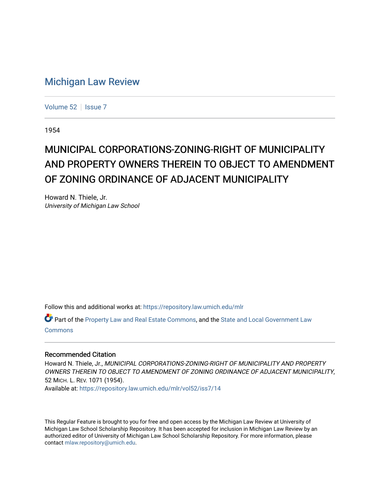## [Michigan Law Review](https://repository.law.umich.edu/mlr)

[Volume 52](https://repository.law.umich.edu/mlr/vol52) | [Issue 7](https://repository.law.umich.edu/mlr/vol52/iss7)

1954

## MUNICIPAL CORPORATIONS-ZONING-RIGHT OF MUNICIPALITY AND PROPERTY OWNERS THEREIN TO OBJECT TO AMENDMENT OF ZONING ORDINANCE OF ADJACENT MUNICIPALITY

Howard N. Thiele, Jr. University of Michigan Law School

Follow this and additional works at: [https://repository.law.umich.edu/mlr](https://repository.law.umich.edu/mlr?utm_source=repository.law.umich.edu%2Fmlr%2Fvol52%2Fiss7%2F14&utm_medium=PDF&utm_campaign=PDFCoverPages) 

Part of the [Property Law and Real Estate Commons,](http://network.bepress.com/hgg/discipline/897?utm_source=repository.law.umich.edu%2Fmlr%2Fvol52%2Fiss7%2F14&utm_medium=PDF&utm_campaign=PDFCoverPages) and the [State and Local Government Law](http://network.bepress.com/hgg/discipline/879?utm_source=repository.law.umich.edu%2Fmlr%2Fvol52%2Fiss7%2F14&utm_medium=PDF&utm_campaign=PDFCoverPages) [Commons](http://network.bepress.com/hgg/discipline/879?utm_source=repository.law.umich.edu%2Fmlr%2Fvol52%2Fiss7%2F14&utm_medium=PDF&utm_campaign=PDFCoverPages)

## Recommended Citation

Howard N. Thiele, Jr., MUNICIPAL CORPORATIONS-ZONING-RIGHT OF MUNICIPALITY AND PROPERTY OWNERS THEREIN TO OBJECT TO AMENDMENT OF ZONING ORDINANCE OF ADJACENT MUNICIPALITY, 52 MICH. L. REV. 1071 (1954).

Available at: [https://repository.law.umich.edu/mlr/vol52/iss7/14](https://repository.law.umich.edu/mlr/vol52/iss7/14?utm_source=repository.law.umich.edu%2Fmlr%2Fvol52%2Fiss7%2F14&utm_medium=PDF&utm_campaign=PDFCoverPages) 

This Regular Feature is brought to you for free and open access by the Michigan Law Review at University of Michigan Law School Scholarship Repository. It has been accepted for inclusion in Michigan Law Review by an authorized editor of University of Michigan Law School Scholarship Repository. For more information, please contact [mlaw.repository@umich.edu](mailto:mlaw.repository@umich.edu).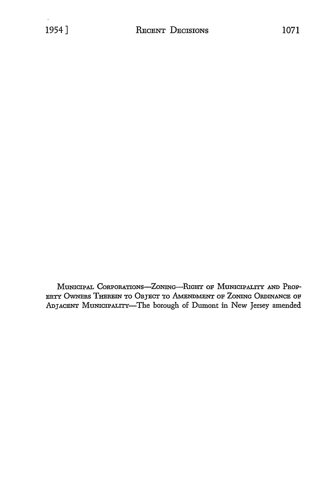MUNICIPAL CORPORATIONS-ZONING-RIGHT OF MUNICIPALITY AND PROP-ERTY OWNERS THEREIN TO OBJECT TO AMENDMENT OF ZONING ORDINANCE OF ADJACENT MUNICIPALITY-The borough of Dumont in New Jersey amended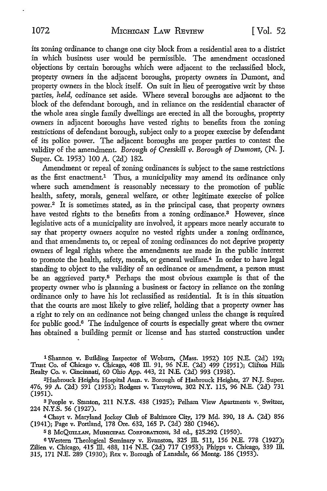its zoning ordinance to change one city block from a residential area to a district in which business user would be permissible. The amendment occasioned objections By certain boroughs which were adjacent to the reclassified block, property owners in the adjacent boroughs, property owners in Dumont, and property owners in the block itself. On suit in lieu of prerogative writ by these parties, *held,* ordinance set aside. Where several boroughs are adjacent to the block of the defendant borough, and in reliance on the residential character of the whole area single family dwellings are erected in all the boroughs, property owners in adjacent boroughs have vested rights to benefits from the zoning restrictions of defendant borough, subject only to a proper exercise by defendant of its police power. The adjacent boroughs are proper parties to contest the validity of the amendment. *Borough of Cresskill v. Borough of Dumont,* (N. J. Super. Ct. 1953) 100 A. (2d) 182.

Amendment or repeal of zoning ordinances is subject to the same restrictions as the first enactment.<sup>1</sup> Thus, a municipality may amend its ordinance only where such amendment is reasonably necessary to the promotion of public health, safety, morals, general welfare, or other legitimate exercise of police power.<sup>2</sup> It is sometimes stated, as in the principal case, that property owners have vested rights to the benefits from a zoning ordinance.<sup>3</sup> However, since legislative acts of a municipality are involved, it appears more nearly accurate to say that property owners acquire no vested rights under a zoning ordinance, and that amendments to, or repeal of zoning ordinances do not deprive property owners of legal rights where the amendments are made in the public interest to promote the health, safety, morals, or general welfare.<sup>4</sup> In order to have legal standing to object to the validity of an ordinance or amendment, a person must be an aggrieved party.5 Perhaps the most obvious example is that of the property owner who is planning a business or factory in reliance on the zoning ordinance only to have his lot reclassified as residential. It is in this situation that the courts are most likely to give relief, holding that a property owner has a right to rely on an ordinance not being changed unless the change is required for public good.6 The indulgence of courts is especially great where the owner bas obtained a building permit or license and bas started construction under

1 Shannon v. Building Inspector of Woburn, (Mass. 1952) 105 N.E. (2d) 192; Trust Co. of Chicago v. Chicago, 408 ID. 91, 96 N.E. (2d) 499 (1951); Clifton Hills Realty Co. v. Cincinnati, 60 Ohio App. 443, 21 N.E. (2d) 993 (1938).

<sup>2</sup>Hasbrouck Heights Hospital Assn. v. Borough of Hasbrouck Heights, 27 N.J. Super. 476, 99 A. (2d) 591 (1953); Rodgers v. Tarrytown, 302 N.Y. ll5, 96 N.E. (2d) 731 (1951).

3 People v. Stanton, 211 N.Y.S. 438 (1925); Pelham View Apartments v. Switzer, 224 N.Y.S. 56 (1927). .

<sup>4</sup>Chayt v. Maryland Jockey Club of Baltimore City, 179 Md. 390, 18 A. (2d) 856 (1941); Page v. Portland, 178 Ore. 632, 165 P. (2d) 280 (1946).

<sup>5</sup>8 McQmLLAN, MUNICIPAL CORPORATIONS, 3d ed., §25.292 (1950).

6 Western Theological Seminary v. Evanston, 325 ID. 511, 156 N.E. 778 (1927); Zilien v. Chicago, 415 Ill. 488, 114 N.E. (2d) 717 (1953); Phipps v. Chicago, 339 Ill. 315, 171 N.E. 289 (1930); Rex v. Borough of Lansdale, 66 Montg. 186 (1953).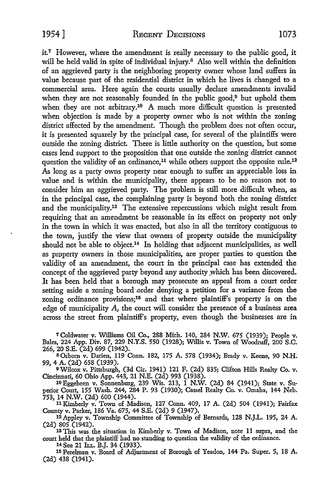$it^7$  However, where the amendment is really necessary to the public good, it will be held valid in spite of individual injury.<sup>8</sup> Also well within the definition of an aggrieved party is the neighboring property owner whose land suffers in value because part of the residential district in which he lives is changed to a commercial area. Here again the courts usually declare amendments invalid when they are not reasonably founded in the public good,<sup>9</sup> but uphold them when they are not arbitrary.<sup>10</sup> A much more difficult question is presented when objection is made by a property owner who is not within the zoning district affected by the amendment. Though the problem does not often occur, it is presented squarely by the principal case, for several of the plaintiffs were outside the zoning district. There is little authority on the question, but some cases lend support to the proposition that one outside the zoning district cannot question the validity of an ordinance,<sup>11</sup> while others support the opposite rule.<sup>12</sup> As long as a party owns property near enough to suffer an appreciable loss in value and is within the municipality, there appears to be no reason not to consider him an aggrieved party. The problem is still more difficult when, as in the principal case, the complaining party is beyond both the zoning district and the municipality.13 The extensive repercussions which might result from requiring that an amendment be reasonable in its effect on property not only in the town in which it was enacted, but also in all the territory contiguous to the town, justify the view that owners of property outside the municipality should not be able to object.14 In holding that adjacent municipalities, as well as property owners in those municipalities, are proper parties to question the validity of an amendment, the court in the principal case has extended the concept of the aggrieved party beyond any authority which has been discovered. It has been held that a borough may prosecute an appeal from a court order setting aside a zoning board order denying a petition for a variance from the zoning ordinance provisions;15 and that where plaintiff's property is on the edge of municipality A, the court will consider the presence of a business area across the street from plaintiff's property, even though the businesses are in

<sup>7</sup>Coldwater v. Williams Oil Co., 288 Mich. 140, 284 N.W. 675 (1939); People v. Bales, 224 App. Div. 87, 229 N.Y.S. 550 (1928); Willis v. Town of Woodruff, 200 S.C. 266, 20 S.E. (2d) 699 (1942).

BOsbom v. Darien, 119 Conn. 182, 175 A. 578 (1934); Brady v. Keene, 90 N.H. 99, 4 A. (2d) 658 (1939).

9Wilcox v. Pittsburgh, (3d Cir. 1941) 121 F. (2d) 835; Clifton Hills Realty Co. v. Cincinnati, 60 Ohio App. 443, 21 N.E. (2d) 993 (1938).

lOEggebeen v. Sonnenburg, 239 Wis. 213, 1 N.W. (2d) 84 (1941); State v. Superior Court, 155 Wash. 244, 284 P. 93 (1930); Cassel Realty Co. v. Omaha, 144 Neb. 753, 14 N.W. (2d) 600 (1944).

11Kimberly v. Town of Madison, 127 Conn. 409, 17 A. (2d) 504 (1941); Fairfax County v. Parker, 186 Va. 675, 44 S.E. (2d) 9 (1947).

<sup>12</sup>Appley v. Township Committee of Township of Bernards, 128 N.J.L. 195, 24 A. (2d) 805 (1942).

13 This was the situation in Kimberly v. Town of Madison, note 11 supra, and the court held that the plaintiff had no standing to question the validity of the ordinance.

15 Perelman v. Board of Adjustment of Borough of Yeadon, 144 Pa. Super. 5, 18 A. (2d) 438 (1941).